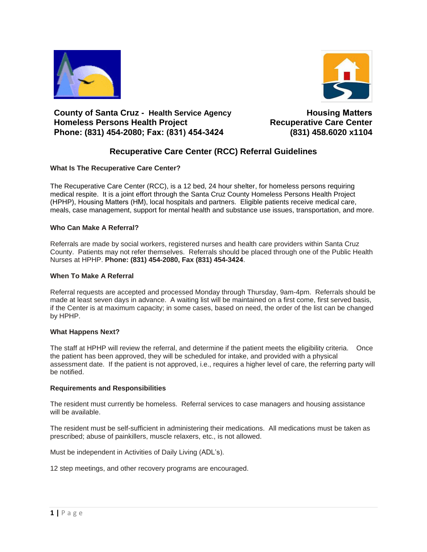



## **County of Santa Cruz - Health Service Agency Homeless Persons Health Project Phone: (831) 454-2080; Fax: (831) 454-3424 (831) 458.6020 x1104**

**Housing Matters Recuperative Care Center** 

# **Recuperative Care Center (RCC) Referral Guidelines**

### **What Is The Recuperative Care Center?**

The Recuperative Care Center (RCC), is a 12 bed, 24 hour shelter, for homeless persons requiring medical respite. It is a joint effort through the Santa Cruz County Homeless Persons Health Project (HPHP), Housing Matters (HM), local hospitals and partners. Eligible patients receive medical care, meals, case management, support for mental health and substance use issues, transportation, and more.

#### **Who Can Make A Referral?**

Referrals are made by social workers, registered nurses and health care providers within Santa Cruz County. Patients may not refer themselves. Referrals should be placed through one of the Public Health Nurses at HPHP. **Phone: (831) 454-2080, Fax (831) 454-3424**.

#### **When To Make A Referral**

Referral requests are accepted and processed Monday through Thursday, 9am-4pm. Referrals should be made at least seven days in advance. A waiting list will be maintained on a first come, first served basis, if the Center is at maximum capacity; in some cases, based on need, the order of the list can be changed by HPHP.

#### **What Happens Next?**

The staff at HPHP will review the referral, and determine if the patient meets the eligibility criteria. Once the patient has been approved, they will be scheduled for intake, and provided with a physical assessment date. If the patient is not approved, i.e., requires a higher level of care, the referring party will be notified.

#### **Requirements and Responsibilities**

The resident must currently be homeless. Referral services to case managers and housing assistance will be available.

The resident must be self-sufficient in administering their medications. All medications must be taken as prescribed; abuse of painkillers, muscle relaxers, etc., is not allowed.

Must be independent in Activities of Daily Living (ADL's).

12 step meetings, and other recovery programs are encouraged.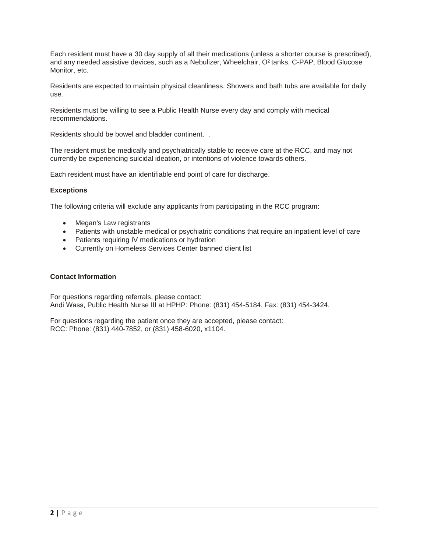Each resident must have a 30 day supply of all their medications (unless a shorter course is prescribed), and any needed assistive devices, such as a Nebulizer, Wheelchair, O<sup>2</sup> tanks, C-PAP, Blood Glucose Monitor, etc.

Residents are expected to maintain physical cleanliness. Showers and bath tubs are available for daily use.

Residents must be willing to see a Public Health Nurse every day and comply with medical recommendations.

Residents should be bowel and bladder continent. .

The resident must be medically and psychiatrically stable to receive care at the RCC, and may not currently be experiencing suicidal ideation, or intentions of violence towards others.

Each resident must have an identifiable end point of care for discharge.

#### **Exceptions**

The following criteria will exclude any applicants from participating in the RCC program:

- Megan's Law registrants
- Patients with unstable medical or psychiatric conditions that require an inpatient level of care
- Patients requiring IV medications or hydration
- Currently on Homeless Services Center banned client list

#### **Contact Information**

For questions regarding referrals, please contact: Andi Wass, Public Health Nurse III at HPHP: Phone: (831) 454-5184, Fax: (831) 454-3424.

For questions regarding the patient once they are accepted, please contact: RCC: Phone: (831) 440-7852, or (831) 458-6020, x1104.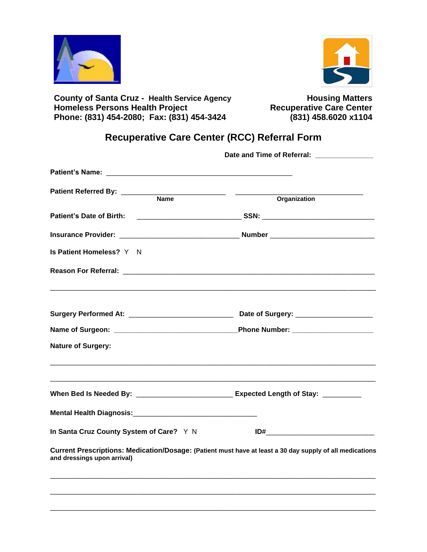



**County of Santa Cruz - Health Service Agency Housing Matters Homeless Persons Health Project <b>Recuperative Care Center Phone: (831) 454-2080; Fax: (831) 454-3424 (831) 458.6020 x1104**

# **Recuperative Care Center (RCC) Referral Form**

|                                                                                                                                         | Date and Time of Referral: ______________ |  |
|-----------------------------------------------------------------------------------------------------------------------------------------|-------------------------------------------|--|
|                                                                                                                                         |                                           |  |
|                                                                                                                                         |                                           |  |
|                                                                                                                                         | Organization                              |  |
|                                                                                                                                         |                                           |  |
|                                                                                                                                         |                                           |  |
| Is Patient Homeless? Y N                                                                                                                |                                           |  |
|                                                                                                                                         |                                           |  |
|                                                                                                                                         |                                           |  |
|                                                                                                                                         |                                           |  |
| <b>Nature of Surgery:</b>                                                                                                               |                                           |  |
| When Bed Is Needed By: _________________________________ Expected Length of Stay: ___________                                           |                                           |  |
|                                                                                                                                         |                                           |  |
| In Santa Cruz County System of Care? Y N                                                                                                |                                           |  |
| Current Prescriptions: Medication/Dosage: (Patient must have at least a 30 day supply of all medications<br>and dressings upon arrival) |                                           |  |
|                                                                                                                                         |                                           |  |
|                                                                                                                                         |                                           |  |
|                                                                                                                                         |                                           |  |